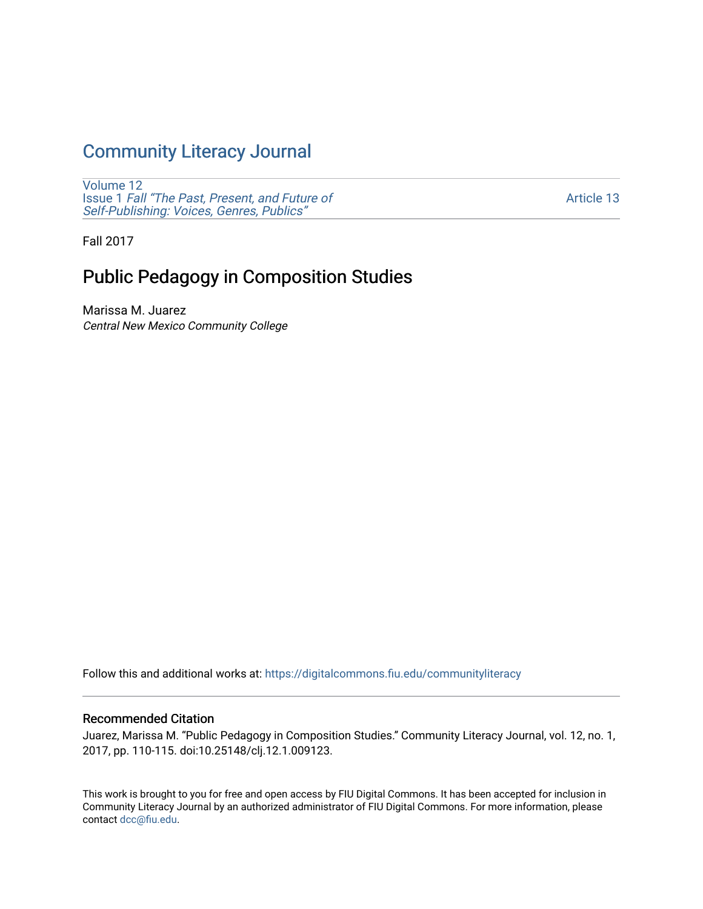# [Community Literacy Journal](https://digitalcommons.fiu.edu/communityliteracy)

[Volume 12](https://digitalcommons.fiu.edu/communityliteracy/vol12) Issue 1 [Fall "The Past, Present, and Future of](https://digitalcommons.fiu.edu/communityliteracy/vol12/iss1) [Self-Publishing: Voices, Genres, Publics"](https://digitalcommons.fiu.edu/communityliteracy/vol12/iss1) 

[Article 13](https://digitalcommons.fiu.edu/communityliteracy/vol12/iss1/13) 

Fall 2017

## Public Pedagogy in Composition Studies

Marissa M. Juarez Central New Mexico Community College

Follow this and additional works at: [https://digitalcommons.fiu.edu/communityliteracy](https://digitalcommons.fiu.edu/communityliteracy?utm_source=digitalcommons.fiu.edu%2Fcommunityliteracy%2Fvol12%2Fiss1%2F13&utm_medium=PDF&utm_campaign=PDFCoverPages)

#### Recommended Citation

Juarez, Marissa M. "Public Pedagogy in Composition Studies." Community Literacy Journal, vol. 12, no. 1, 2017, pp. 110-115. doi:10.25148/clj.12.1.009123.

This work is brought to you for free and open access by FIU Digital Commons. It has been accepted for inclusion in Community Literacy Journal by an authorized administrator of FIU Digital Commons. For more information, please contact [dcc@fiu.edu](mailto:dcc@fiu.edu).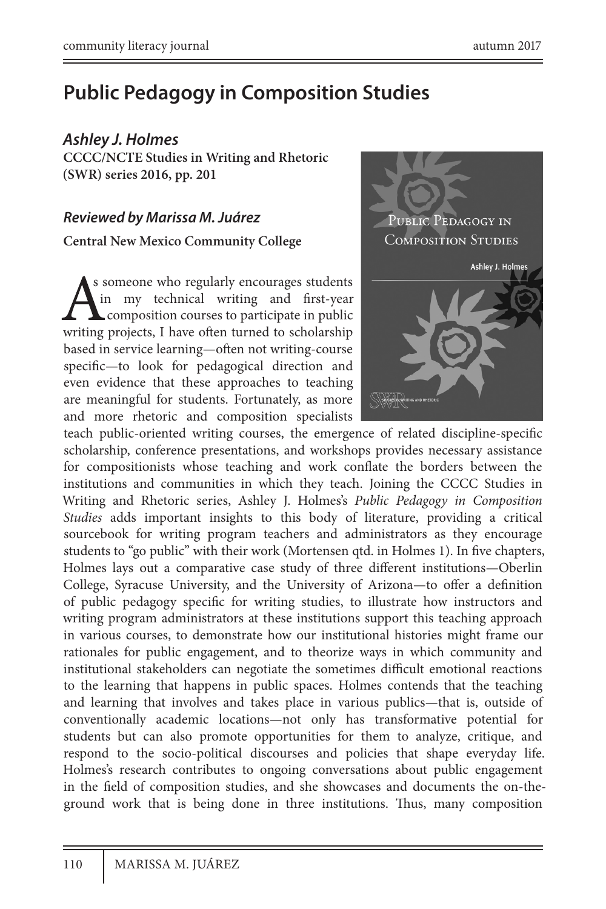# **Public Pedagogy in Composition Studies**

## *Ashley J. Holmes*

**CCCC/NCTE Studies in Writing and Rhetoric (SWR) series 2016, pp. 201**

## *Reviewed by Marissa M. Juárez*

**Central New Mexico Community College**

s someone who regularly encourages students in my technical writing and first-year **L** composition courses to participate in public writing projects, I have often turned to scholarship based in service learning—often not writing-course specific—to look for pedagogical direction and even evidence that these approaches to teaching are meaningful for students. Fortunately, as more and more rhetoric and composition specialists



teach public-oriented writing courses, the emergence of related discipline-specific scholarship, conference presentations, and workshops provides necessary assistance for compositionists whose teaching and work conflate the borders between the institutions and communities in which they teach. Joining the CCCC Studies in Writing and Rhetoric series, Ashley J. Holmes's *Public Pedagogy in Composition Studies* adds important insights to this body of literature, providing a critical sourcebook for writing program teachers and administrators as they encourage students to "go public" with their work (Mortensen qtd. in Holmes 1). In five chapters, Holmes lays out a comparative case study of three different institutions—Oberlin College, Syracuse University, and the University of Arizona—to offer a definition of public pedagogy specific for writing studies, to illustrate how instructors and writing program administrators at these institutions support this teaching approach in various courses, to demonstrate how our institutional histories might frame our rationales for public engagement, and to theorize ways in which community and institutional stakeholders can negotiate the sometimes difficult emotional reactions to the learning that happens in public spaces. Holmes contends that the teaching and learning that involves and takes place in various publics—that is, outside of conventionally academic locations—not only has transformative potential for students but can also promote opportunities for them to analyze, critique, and respond to the socio-political discourses and policies that shape everyday life. Holmes's research contributes to ongoing conversations about public engagement in the field of composition studies, and she showcases and documents the on-theground work that is being done in three institutions. Thus, many composition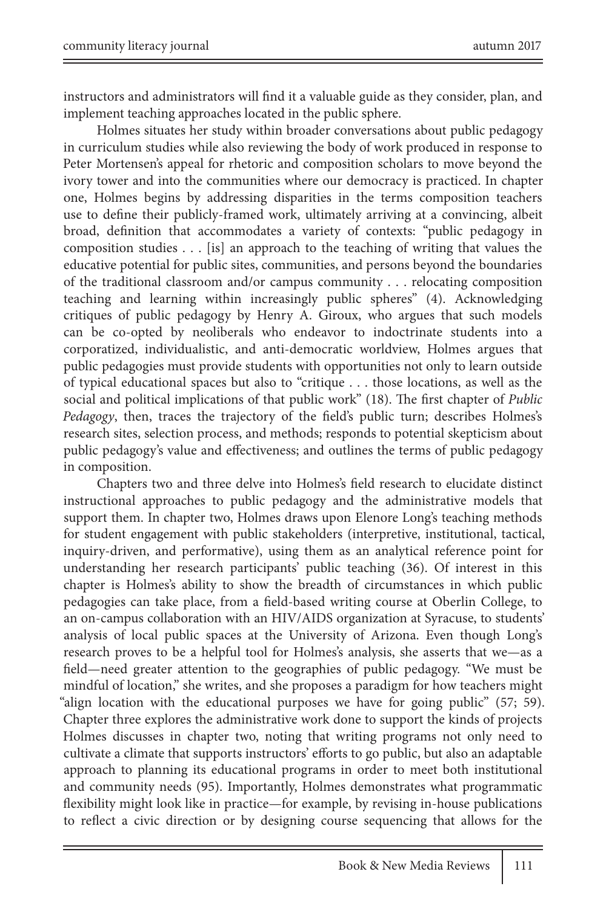instructors and administrators will find it a valuable guide as they consider, plan, and implement teaching approaches located in the public sphere.

Holmes situates her study within broader conversations about public pedagogy in curriculum studies while also reviewing the body of work produced in response to Peter Mortensen's appeal for rhetoric and composition scholars to move beyond the ivory tower and into the communities where our democracy is practiced. In chapter one, Holmes begins by addressing disparities in the terms composition teachers use to define their publicly-framed work, ultimately arriving at a convincing, albeit broad, definition that accommodates a variety of contexts: "public pedagogy in composition studies . . . [is] an approach to the teaching of writing that values the educative potential for public sites, communities, and persons beyond the boundaries of the traditional classroom and/or campus community . . . relocating composition teaching and learning within increasingly public spheres" (4). Acknowledging critiques of public pedagogy by Henry A. Giroux, who argues that such models can be co-opted by neoliberals who endeavor to indoctrinate students into a corporatized, individualistic, and anti-democratic worldview, Holmes argues that public pedagogies must provide students with opportunities not only to learn outside of typical educational spaces but also to "critique . . . those locations, as well as the social and political implications of that public work" (18). The first chapter of *Public Pedagogy*, then, traces the trajectory of the field's public turn; describes Holmes's research sites, selection process, and methods; responds to potential skepticism about public pedagogy's value and effectiveness; and outlines the terms of public pedagogy in composition.

Chapters two and three delve into Holmes's field research to elucidate distinct instructional approaches to public pedagogy and the administrative models that support them. In chapter two, Holmes draws upon Elenore Long's teaching methods for student engagement with public stakeholders (interpretive, institutional, tactical, inquiry-driven, and performative), using them as an analytical reference point for understanding her research participants' public teaching (36). Of interest in this chapter is Holmes's ability to show the breadth of circumstances in which public pedagogies can take place, from a field-based writing course at Oberlin College, to an on-campus collaboration with an HIV/AIDS organization at Syracuse, to students' analysis of local public spaces at the University of Arizona. Even though Long's research proves to be a helpful tool for Holmes's analysis, she asserts that we—as a field—need greater attention to the geographies of public pedagogy. "We must be mindful of location," she writes, and she proposes a paradigm for how teachers might "align location with the educational purposes we have for going public" (57; 59). Chapter three explores the administrative work done to support the kinds of projects Holmes discusses in chapter two, noting that writing programs not only need to cultivate a climate that supports instructors' efforts to go public, but also an adaptable approach to planning its educational programs in order to meet both institutional and community needs (95). Importantly, Holmes demonstrates what programmatic flexibility might look like in practice—for example, by revising in-house publications to reflect a civic direction or by designing course sequencing that allows for the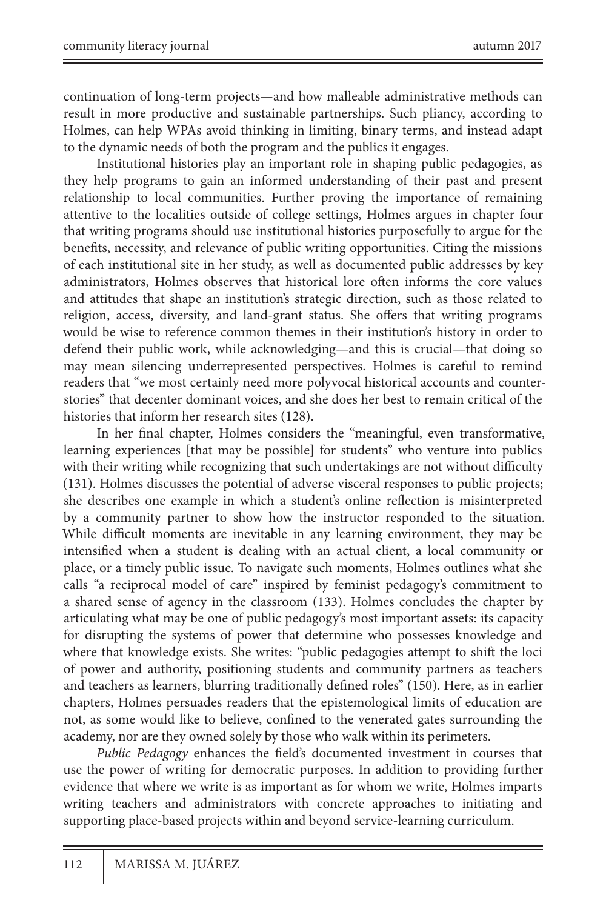continuation of long-term projects—and how malleable administrative methods can result in more productive and sustainable partnerships. Such pliancy, according to Holmes, can help WPAs avoid thinking in limiting, binary terms, and instead adapt to the dynamic needs of both the program and the publics it engages.

Institutional histories play an important role in shaping public pedagogies, as they help programs to gain an informed understanding of their past and present relationship to local communities. Further proving the importance of remaining attentive to the localities outside of college settings, Holmes argues in chapter four that writing programs should use institutional histories purposefully to argue for the benefits, necessity, and relevance of public writing opportunities. Citing the missions of each institutional site in her study, as well as documented public addresses by key administrators, Holmes observes that historical lore often informs the core values and attitudes that shape an institution's strategic direction, such as those related to religion, access, diversity, and land-grant status. She offers that writing programs would be wise to reference common themes in their institution's history in order to defend their public work, while acknowledging—and this is crucial—that doing so may mean silencing underrepresented perspectives. Holmes is careful to remind readers that "we most certainly need more polyvocal historical accounts and counterstories" that decenter dominant voices, and she does her best to remain critical of the histories that inform her research sites (128).

In her final chapter, Holmes considers the "meaningful, even transformative, learning experiences [that may be possible] for students" who venture into publics with their writing while recognizing that such undertakings are not without difficulty (131). Holmes discusses the potential of adverse visceral responses to public projects; she describes one example in which a student's online reflection is misinterpreted by a community partner to show how the instructor responded to the situation. While difficult moments are inevitable in any learning environment, they may be intensified when a student is dealing with an actual client, a local community or place, or a timely public issue. To navigate such moments, Holmes outlines what she calls "a reciprocal model of care" inspired by feminist pedagogy's commitment to a shared sense of agency in the classroom (133). Holmes concludes the chapter by articulating what may be one of public pedagogy's most important assets: its capacity for disrupting the systems of power that determine who possesses knowledge and where that knowledge exists. She writes: "public pedagogies attempt to shift the loci of power and authority, positioning students and community partners as teachers and teachers as learners, blurring traditionally defined roles" (150). Here, as in earlier chapters, Holmes persuades readers that the epistemological limits of education are not, as some would like to believe, confined to the venerated gates surrounding the academy, nor are they owned solely by those who walk within its perimeters.

*Public Pedagogy* enhances the field's documented investment in courses that use the power of writing for democratic purposes. In addition to providing further evidence that where we write is as important as for whom we write, Holmes imparts writing teachers and administrators with concrete approaches to initiating and supporting place-based projects within and beyond service-learning curriculum.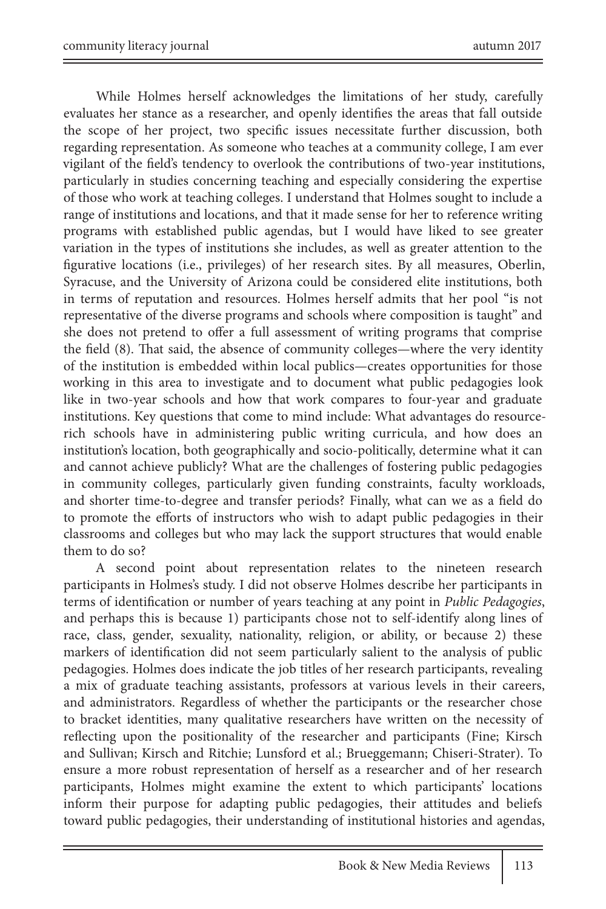While Holmes herself acknowledges the limitations of her study, carefully evaluates her stance as a researcher, and openly identifies the areas that fall outside the scope of her project, two specific issues necessitate further discussion, both regarding representation. As someone who teaches at a community college, I am ever vigilant of the field's tendency to overlook the contributions of two-year institutions, particularly in studies concerning teaching and especially considering the expertise of those who work at teaching colleges. I understand that Holmes sought to include a range of institutions and locations, and that it made sense for her to reference writing programs with established public agendas, but I would have liked to see greater variation in the types of institutions she includes, as well as greater attention to the figurative locations (i.e., privileges) of her research sites. By all measures, Oberlin, Syracuse, and the University of Arizona could be considered elite institutions, both in terms of reputation and resources. Holmes herself admits that her pool "is not representative of the diverse programs and schools where composition is taught" and she does not pretend to offer a full assessment of writing programs that comprise the field (8). That said, the absence of community colleges—where the very identity of the institution is embedded within local publics—creates opportunities for those working in this area to investigate and to document what public pedagogies look like in two-year schools and how that work compares to four-year and graduate institutions. Key questions that come to mind include: What advantages do resourcerich schools have in administering public writing curricula, and how does an institution's location, both geographically and socio-politically, determine what it can and cannot achieve publicly? What are the challenges of fostering public pedagogies in community colleges, particularly given funding constraints, faculty workloads, and shorter time-to-degree and transfer periods? Finally, what can we as a field do to promote the efforts of instructors who wish to adapt public pedagogies in their classrooms and colleges but who may lack the support structures that would enable them to do so?

A second point about representation relates to the nineteen research participants in Holmes's study. I did not observe Holmes describe her participants in terms of identification or number of years teaching at any point in *Public Pedagogies*, and perhaps this is because 1) participants chose not to self-identify along lines of race, class, gender, sexuality, nationality, religion, or ability, or because 2) these markers of identification did not seem particularly salient to the analysis of public pedagogies. Holmes does indicate the job titles of her research participants, revealing a mix of graduate teaching assistants, professors at various levels in their careers, and administrators. Regardless of whether the participants or the researcher chose to bracket identities, many qualitative researchers have written on the necessity of reflecting upon the positionality of the researcher and participants (Fine; Kirsch and Sullivan; Kirsch and Ritchie; Lunsford et al.; Brueggemann; Chiseri-Strater). To ensure a more robust representation of herself as a researcher and of her research participants, Holmes might examine the extent to which participants' locations inform their purpose for adapting public pedagogies, their attitudes and beliefs toward public pedagogies, their understanding of institutional histories and agendas,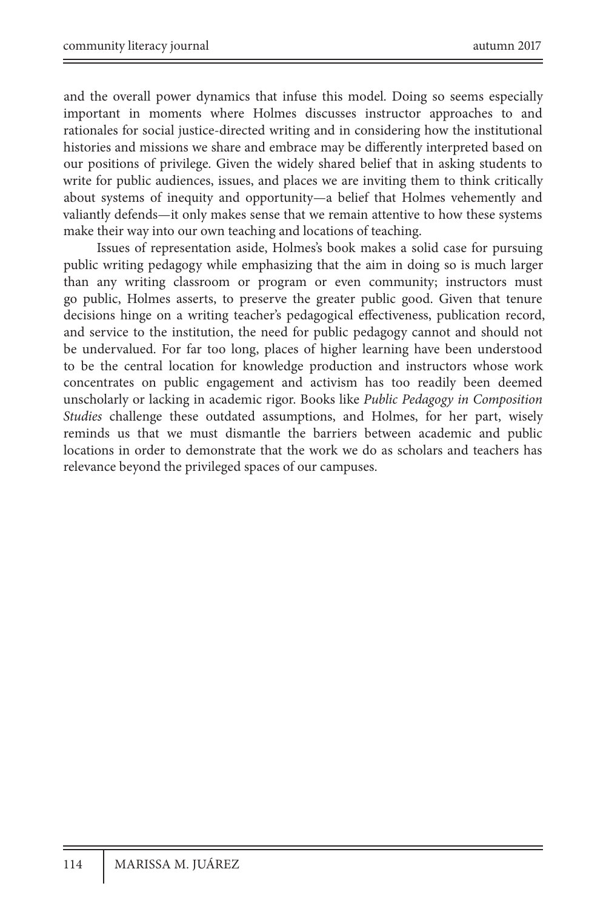and the overall power dynamics that infuse this model. Doing so seems especially important in moments where Holmes discusses instructor approaches to and rationales for social justice-directed writing and in considering how the institutional histories and missions we share and embrace may be differently interpreted based on our positions of privilege. Given the widely shared belief that in asking students to write for public audiences, issues, and places we are inviting them to think critically about systems of inequity and opportunity—a belief that Holmes vehemently and valiantly defends—it only makes sense that we remain attentive to how these systems make their way into our own teaching and locations of teaching.

Issues of representation aside, Holmes's book makes a solid case for pursuing public writing pedagogy while emphasizing that the aim in doing so is much larger than any writing classroom or program or even community; instructors must go public, Holmes asserts, to preserve the greater public good. Given that tenure decisions hinge on a writing teacher's pedagogical effectiveness, publication record, and service to the institution, the need for public pedagogy cannot and should not be undervalued. For far too long, places of higher learning have been understood to be the central location for knowledge production and instructors whose work concentrates on public engagement and activism has too readily been deemed unscholarly or lacking in academic rigor. Books like *Public Pedagogy in Composition Studies* challenge these outdated assumptions, and Holmes, for her part, wisely reminds us that we must dismantle the barriers between academic and public locations in order to demonstrate that the work we do as scholars and teachers has relevance beyond the privileged spaces of our campuses.